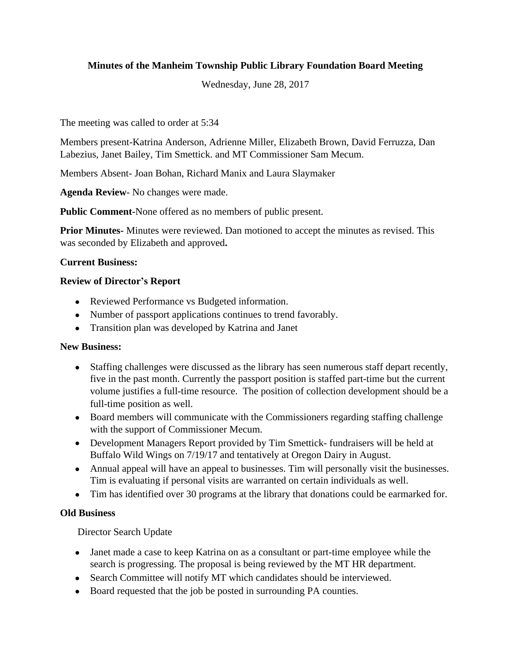# **Minutes of the Manheim Township Public Library Foundation Board Meeting**

Wednesday, June 28, 2017

The meeting was called to order at 5:34

Members present-Katrina Anderson, Adrienne Miller, Elizabeth Brown, David Ferruzza, Dan Labezius, Janet Bailey, Tim Smettick. and MT Commissioner Sam Mecum.

Members Absent- Joan Bohan, Richard Manix and Laura Slaymaker

**Agenda Review**- No changes were made.

**Public Comment-**None offered as no members of public present.

**Prior Minutes-** Minutes were reviewed. Dan motioned to accept the minutes as revised. This was seconded by Elizabeth and approved**.**

#### **Current Business:**

#### **Review of Director's Report**

- Reviewed Performance vs Budgeted information.
- Number of passport applications continues to trend favorably.
- Transition plan was developed by Katrina and Janet

#### **New Business:**

- Staffing challenges were discussed as the library has seen numerous staff depart recently, five in the past month. Currently the passport position is staffed part-time but the current volume justifies a full-time resource. The position of collection development should be a full-time position as well.
- Board members will communicate with the Commissioners regarding staffing challenge with the support of Commissioner Mecum.
- Development Managers Report provided by Tim Smettick- fundraisers will be held at Buffalo Wild Wings on 7/19/17 and tentatively at Oregon Dairy in August.
- Annual appeal will have an appeal to businesses. Tim will personally visit the businesses. Tim is evaluating if personal visits are warranted on certain individuals as well.
- Tim has identified over 30 programs at the library that donations could be earmarked for.

## **Old Business**

Director Search Update

- Janet made a case to keep Katrina on as a consultant or part-time employee while the search is progressing. The proposal is being reviewed by the MT HR department.
- Search Committee will notify MT which candidates should be interviewed.
- Board requested that the job be posted in surrounding PA counties.